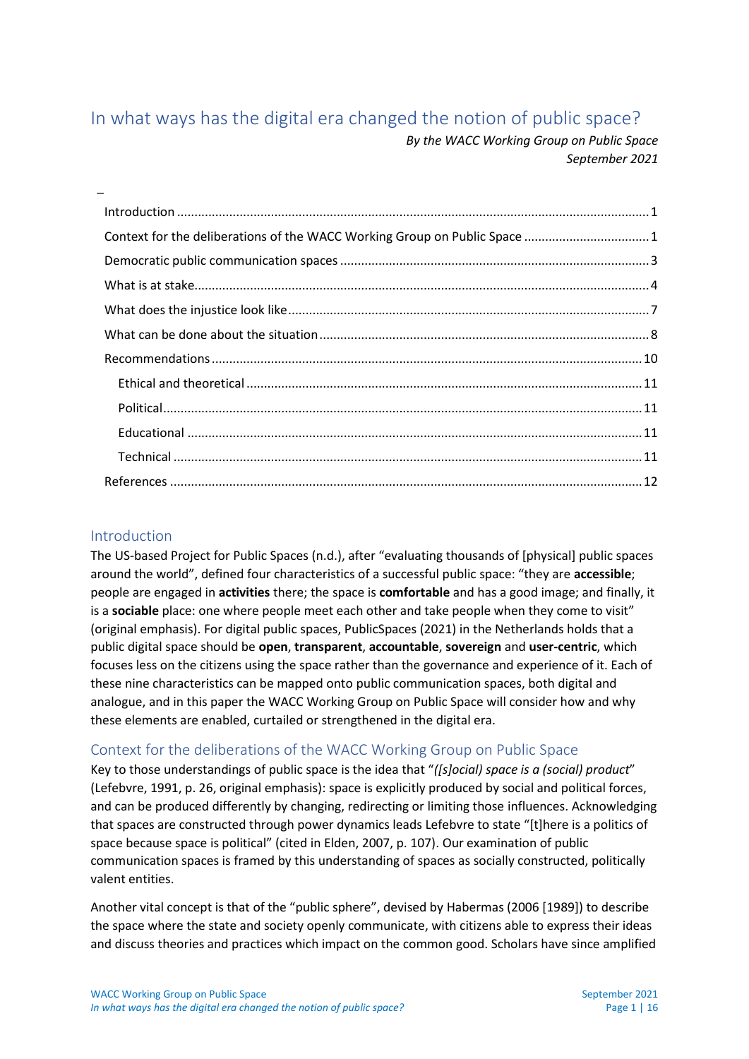# <span id="page-0-0"></span>In what ways has the digital era changed the notion of public space?

*By the WACC Working Group on Public Space September 2021*

| Context for the deliberations of the WACC Working Group on Public Space  1 |  |
|----------------------------------------------------------------------------|--|
|                                                                            |  |
|                                                                            |  |
|                                                                            |  |
|                                                                            |  |
|                                                                            |  |
|                                                                            |  |
|                                                                            |  |
|                                                                            |  |
|                                                                            |  |
|                                                                            |  |

# <span id="page-0-1"></span>Introduction

[\\_](#page-0-0)

The US-based Project for Public Spaces (n.d.), after "evaluating thousands of [physical] public spaces around the world", defined four characteristics of a successful public space: "they are **accessible**; people are engaged in **activities** there; the space is **comfortable** and has a good image; and finally, it is a **sociable** place: one where people meet each other and take people when they come to visit" (original emphasis). For digital public spaces, PublicSpaces (2021) in the Netherlands holds that a public digital space should be **open**, **transparent**, **accountable**, **sovereign** and **user-centric**, which focuses less on the citizens using the space rather than the governance and experience of it. Each of these nine characteristics can be mapped onto public communication spaces, both digital and analogue, and in this paper the WACC Working Group on Public Space will consider how and why these elements are enabled, curtailed or strengthened in the digital era.

# <span id="page-0-2"></span>Context for the deliberations of the WACC Working Group on Public Space

Key to those understandings of public space is the idea that "*([s]ocial) space is a (social) product*" (Lefebvre, 1991, p. 26, original emphasis): space is explicitly produced by social and political forces, and can be produced differently by changing, redirecting or limiting those influences. Acknowledging that spaces are constructed through power dynamics leads Lefebvre to state "[t]here is a politics of space because space is political" (cited in Elden, 2007, p. 107). Our examination of public communication spaces is framed by this understanding of spaces as socially constructed, politically valent entities.

Another vital concept is that of the "public sphere", devised by Habermas (2006 [1989]) to describe the space where the state and society openly communicate, with citizens able to express their ideas and discuss theories and practices which impact on the common good. Scholars have since amplified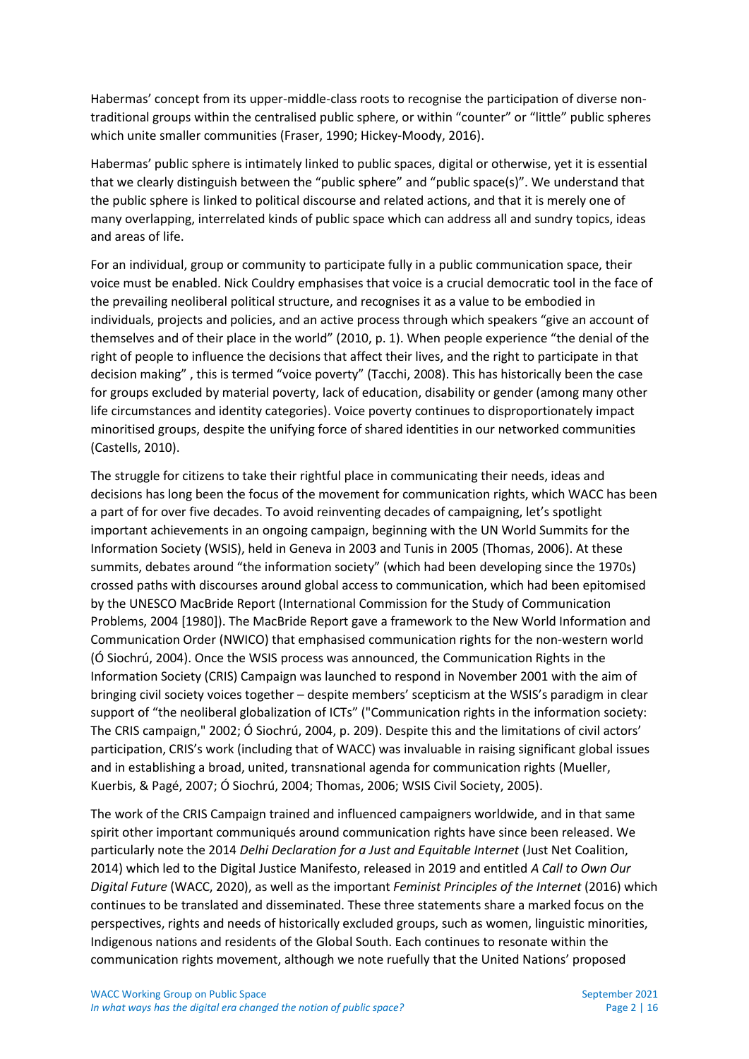Habermas' concept from its upper-middle-class roots to recognise the participation of diverse nontraditional groups within the centralised public sphere, or within "counter" or "little" public spheres which unite smaller communities (Fraser, 1990; Hickey-Moody, 2016).

Habermas' public sphere is intimately linked to public spaces, digital or otherwise, yet it is essential that we clearly distinguish between the "public sphere" and "public space(s)". We understand that the public sphere is linked to political discourse and related actions, and that it is merely one of many overlapping, interrelated kinds of public space which can address all and sundry topics, ideas and areas of life.

For an individual, group or community to participate fully in a public communication space, their voice must be enabled. Nick Couldry emphasises that voice is a crucial democratic tool in the face of the prevailing neoliberal political structure, and recognises it as a value to be embodied in individuals, projects and policies, and an active process through which speakers "give an account of themselves and of their place in the world" (2010, p. 1). When people experience "the denial of the right of people to influence the decisions that affect their lives, and the right to participate in that decision making" , this is termed "voice poverty" (Tacchi, 2008). This has historically been the case for groups excluded by material poverty, lack of education, disability or gender (among many other life circumstances and identity categories). Voice poverty continues to disproportionately impact minoritised groups, despite the unifying force of shared identities in our networked communities (Castells, 2010).

The struggle for citizens to take their rightful place in communicating their needs, ideas and decisions has long been the focus of the movement for communication rights, which WACC has been a part of for over five decades. To avoid reinventing decades of campaigning, let's spotlight important achievements in an ongoing campaign, beginning with the UN World Summits for the Information Society (WSIS), held in Geneva in 2003 and Tunis in 2005 (Thomas, 2006). At these summits, debates around "the information society" (which had been developing since the 1970s) crossed paths with discourses around global access to communication, which had been epitomised by the UNESCO MacBride Report (International Commission for the Study of Communication Problems, 2004 [1980]). The MacBride Report gave a framework to the New World Information and Communication Order (NWICO) that emphasised communication rights for the non-western world (Ó Siochrú, 2004). Once the WSIS process was announced, the Communication Rights in the Information Society (CRIS) Campaign was launched to respond in November 2001 with the aim of bringing civil society voices together – despite members' scepticism at the WSIS's paradigm in clear support of "the neoliberal globalization of ICTs" ("Communication rights in the information society: The CRIS campaign," 2002; Ó Siochrú, 2004, p. 209). Despite this and the limitations of civil actors' participation, CRIS's work (including that of WACC) was invaluable in raising significant global issues and in establishing a broad, united, transnational agenda for communication rights (Mueller, Kuerbis, & Pagé, 2007; Ó Siochrú, 2004; Thomas, 2006; WSIS Civil Society, 2005).

The work of the CRIS Campaign trained and influenced campaigners worldwide, and in that same spirit other important communiqués around communication rights have since been released. We particularly note the 2014 *Delhi Declaration for a Just and Equitable Internet* (Just Net Coalition, 2014) which led to the Digital Justice Manifesto, released in 2019 and entitled *A Call to Own Our Digital Future* (WACC, 2020), as well as the important *Feminist Principles of the Internet* (2016) which continues to be translated and disseminated. These three statements share a marked focus on the perspectives, rights and needs of historically excluded groups, such as women, linguistic minorities, Indigenous nations and residents of the Global South. Each continues to resonate within the communication rights movement, although we note ruefully that the United Nations' proposed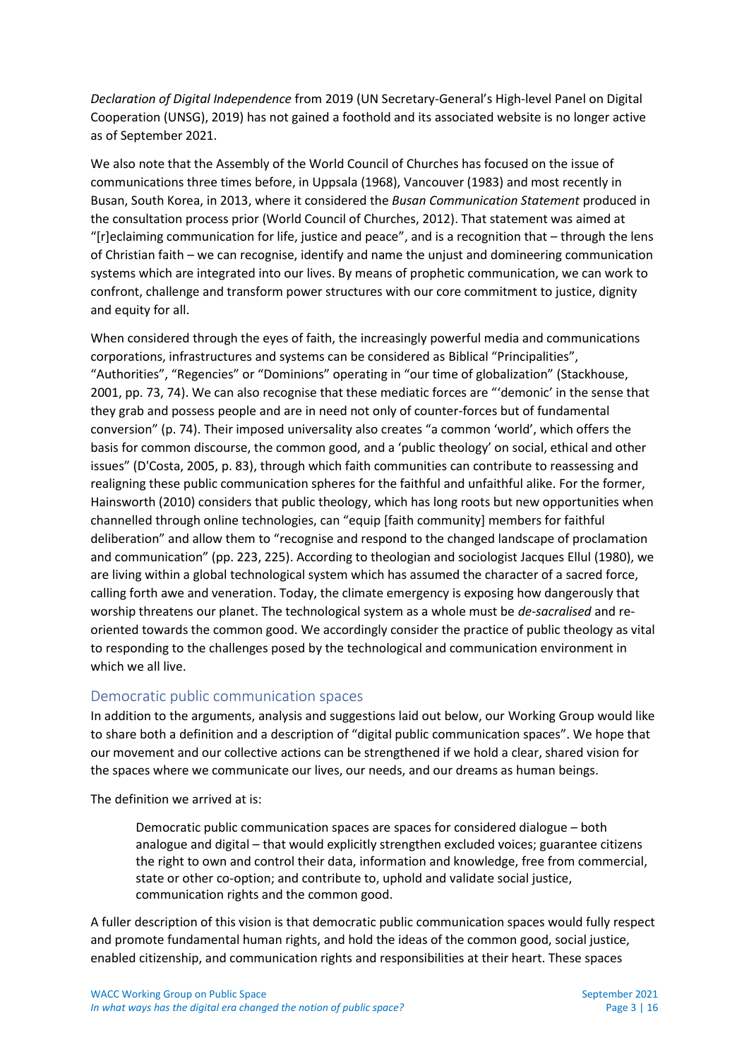*Declaration of Digital Independence* from 2019 (UN Secretary-General's High-level Panel on Digital Cooperation (UNSG), 2019) has not gained a foothold and its associated website is no longer active as of September 2021.

We also note that the Assembly of the World Council of Churches has focused on the issue of communications three times before, in Uppsala (1968), Vancouver (1983) and most recently in Busan, South Korea, in 2013, where it considered the *Busan Communication Statement* produced in the consultation process prior (World Council of Churches, 2012). That statement was aimed at "[r]eclaiming communication for life, justice and peace", and is a recognition that  $-$  through the lens of Christian faith – we can recognise, identify and name the unjust and domineering communication systems which are integrated into our lives. By means of prophetic communication, we can work to confront, challenge and transform power structures with our core commitment to justice, dignity and equity for all.

When considered through the eyes of faith, the increasingly powerful media and communications corporations, infrastructures and systems can be considered as Biblical "Principalities", "Authorities", "Regencies" or "Dominions" operating in "our time of globalization" (Stackhouse, 2001, pp. 73, 74). We can also recognise that these mediatic forces are "'demonic' in the sense that they grab and possess people and are in need not only of counter-forces but of fundamental conversion" (p. 74). Their imposed universality also creates "a common 'world', which offers the basis for common discourse, the common good, and a 'public theology' on social, ethical and other issues" (D'Costa, 2005, p. 83), through which faith communities can contribute to reassessing and realigning these public communication spheres for the faithful and unfaithful alike. For the former, Hainsworth (2010) considers that public theology, which has long roots but new opportunities when channelled through online technologies, can "equip [faith community] members for faithful deliberation" and allow them to "recognise and respond to the changed landscape of proclamation and communication" (pp. 223, 225). According to theologian and sociologist Jacques Ellul (1980), we are living within a global technological system which has assumed the character of a sacred force, calling forth awe and veneration. Today, the climate emergency is exposing how dangerously that worship threatens our planet. The technological system as a whole must be *de-sacralised* and reoriented towards the common good. We accordingly consider the practice of public theology as vital to responding to the challenges posed by the technological and communication environment in which we all live.

# <span id="page-2-0"></span>Democratic public communication spaces

In addition to the arguments, analysis and suggestions laid out below, our Working Group would like to share both a definition and a description of "digital public communication spaces". We hope that our movement and our collective actions can be strengthened if we hold a clear, shared vision for the spaces where we communicate our lives, our needs, and our dreams as human beings.

The definition we arrived at is:

Democratic public communication spaces are spaces for considered dialogue – both analogue and digital – that would explicitly strengthen excluded voices; guarantee citizens the right to own and control their data, information and knowledge, free from commercial, state or other co-option; and contribute to, uphold and validate social justice, communication rights and the common good.

A fuller description of this vision is that democratic public communication spaces would fully respect and promote fundamental human rights, and hold the ideas of the common good, social justice, enabled citizenship, and communication rights and responsibilities at their heart. These spaces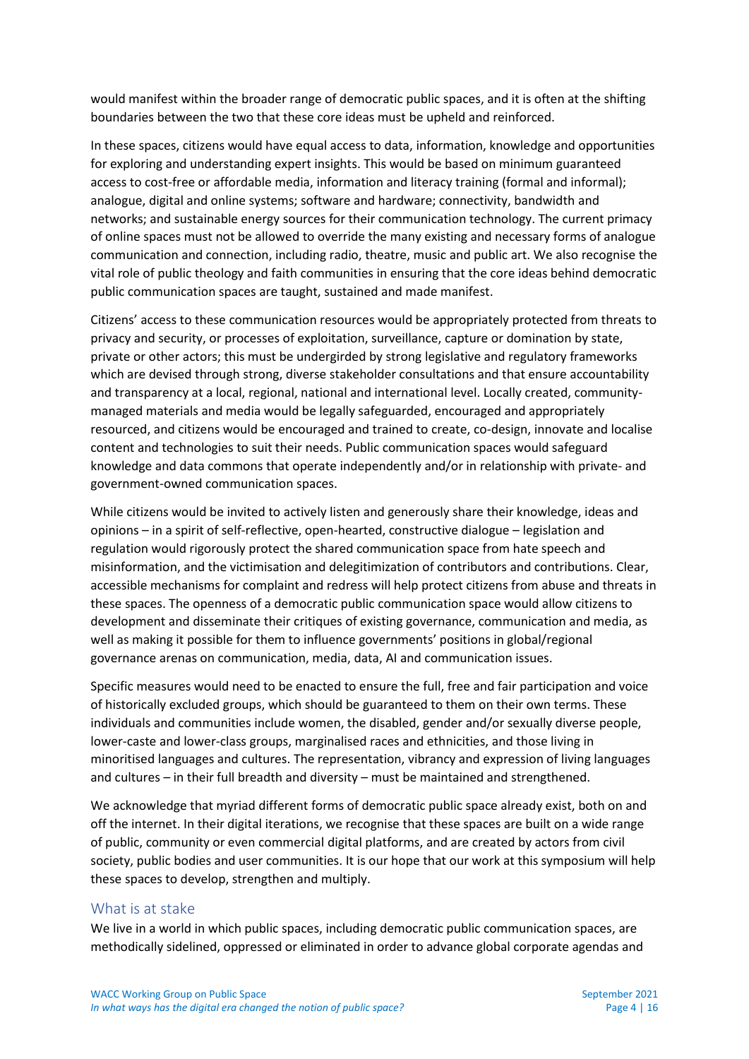would manifest within the broader range of democratic public spaces, and it is often at the shifting boundaries between the two that these core ideas must be upheld and reinforced.

In these spaces, citizens would have equal access to data, information, knowledge and opportunities for exploring and understanding expert insights. This would be based on minimum guaranteed access to cost-free or affordable media, information and literacy training (formal and informal); analogue, digital and online systems; software and hardware; connectivity, bandwidth and networks; and sustainable energy sources for their communication technology. The current primacy of online spaces must not be allowed to override the many existing and necessary forms of analogue communication and connection, including radio, theatre, music and public art. We also recognise the vital role of public theology and faith communities in ensuring that the core ideas behind democratic public communication spaces are taught, sustained and made manifest.

Citizens' access to these communication resources would be appropriately protected from threats to privacy and security, or processes of exploitation, surveillance, capture or domination by state, private or other actors; this must be undergirded by strong legislative and regulatory frameworks which are devised through strong, diverse stakeholder consultations and that ensure accountability and transparency at a local, regional, national and international level. Locally created, communitymanaged materials and media would be legally safeguarded, encouraged and appropriately resourced, and citizens would be encouraged and trained to create, co-design, innovate and localise content and technologies to suit their needs. Public communication spaces would safeguard knowledge and data commons that operate independently and/or in relationship with private- and government-owned communication spaces.

While citizens would be invited to actively listen and generously share their knowledge, ideas and opinions – in a spirit of self-reflective, open-hearted, constructive dialogue – legislation and regulation would rigorously protect the shared communication space from hate speech and misinformation, and the victimisation and delegitimization of contributors and contributions. Clear, accessible mechanisms for complaint and redress will help protect citizens from abuse and threats in these spaces. The openness of a democratic public communication space would allow citizens to development and disseminate their critiques of existing governance, communication and media, as well as making it possible for them to influence governments' positions in global/regional governance arenas on communication, media, data, AI and communication issues.

Specific measures would need to be enacted to ensure the full, free and fair participation and voice of historically excluded groups, which should be guaranteed to them on their own terms. These individuals and communities include women, the disabled, gender and/or sexually diverse people, lower-caste and lower-class groups, marginalised races and ethnicities, and those living in minoritised languages and cultures. The representation, vibrancy and expression of living languages and cultures – in their full breadth and diversity – must be maintained and strengthened.

We acknowledge that myriad different forms of democratic public space already exist, both on and off the internet. In their digital iterations, we recognise that these spaces are built on a wide range of public, community or even commercial digital platforms, and are created by actors from civil society, public bodies and user communities. It is our hope that our work at this symposium will help these spaces to develop, strengthen and multiply.

#### <span id="page-3-0"></span>What is at stake

We live in a world in which public spaces, including democratic public communication spaces, are methodically sidelined, oppressed or eliminated in order to advance global corporate agendas and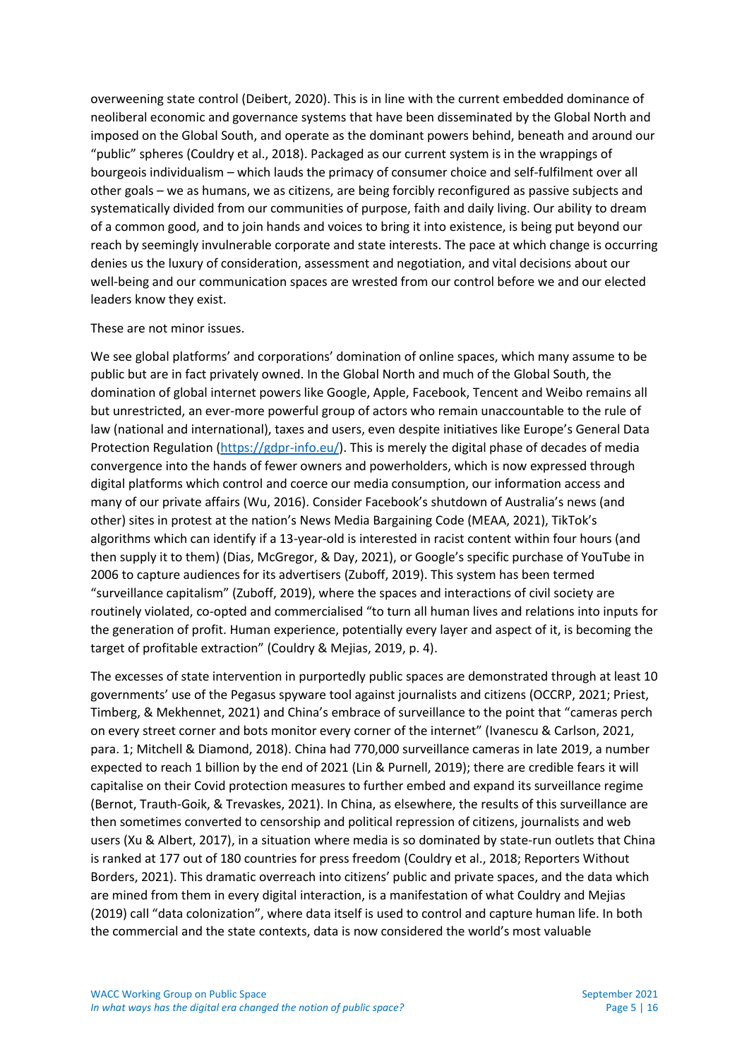overweening state control (Deibert, 2020). This is in line with the current embedded dominance of neoliberal economic and governance systems that have been disseminated by the Global North and imposed on the Global South, and operate as the dominant powers behind, beneath and around our "public" spheres (Couldry et al., 2018). Packaged as our current system is in the wrappings of bourgeois individualism – which lauds the primacy of consumer choice and self-fulfilment over all other goals – we as humans, we as citizens, are being forcibly reconfigured as passive subjects and systematically divided from our communities of purpose, faith and daily living. Our ability to dream of a common good, and to join hands and voices to bring it into existence, is being put beyond our reach by seemingly invulnerable corporate and state interests. The pace at which change is occurring denies us the luxury of consideration, assessment and negotiation, and vital decisions about our well-being and our communication spaces are wrested from our control before we and our elected leaders know they exist.

#### These are not minor issues.

We see global platforms' and corporations' domination of online spaces, which many assume to be public but are in fact privately owned. In the Global North and much of the Global South, the domination of global internet powers like Google, Apple, Facebook, Tencent and Weibo remains all but unrestricted, an ever-more powerful group of actors who remain unaccountable to the rule of law (national and international), taxes and users, even despite initiatives like Europe's General Data Protection Regulation [\(https://gdpr-info.eu/\)](https://gdpr-info.eu/). This is merely the digital phase of decades of media convergence into the hands of fewer owners and powerholders, which is now expressed through digital platforms which control and coerce our media consumption, our information access and many of our private affairs (Wu, 2016). Consider Facebook's shutdown of Australia's news (and other) sites in protest at the nation's News Media Bargaining Code (MEAA, 2021), TikTok's algorithms which can identify if a 13-year-old is interested in racist content within four hours (and then supply it to them) (Dias, McGregor, & Day, 2021), or Google's specific purchase of YouTube in 2006 to capture audiences for its advertisers (Zuboff, 2019). This system has been termed "surveillance capitalism" (Zuboff, 2019), where the spaces and interactions of civil society are routinely violated, co-opted and commercialised "to turn all human lives and relations into inputs for the generation of profit. Human experience, potentially every layer and aspect of it, is becoming the target of profitable extraction" (Couldry & Mejias, 2019, p. 4).

The excesses of state intervention in purportedly public spaces are demonstrated through at least 10 governments' use of the Pegasus spyware tool against journalists and citizens (OCCRP, 2021; Priest, Timberg, & Mekhennet, 2021) and China's embrace of surveillance to the point that "cameras perch on every street corner and bots monitor every corner of the internet" (Ivanescu & Carlson, 2021, para. 1; Mitchell & Diamond, 2018). China had 770,000 surveillance cameras in late 2019, a number expected to reach 1 billion by the end of 2021 (Lin & Purnell, 2019); there are credible fears it will capitalise on their Covid protection measures to further embed and expand its surveillance regime (Bernot, Trauth-Goik, & Trevaskes, 2021). In China, as elsewhere, the results of this surveillance are then sometimes converted to censorship and political repression of citizens, journalists and web users (Xu & Albert, 2017), in a situation where media is so dominated by state-run outlets that China is ranked at 177 out of 180 countries for press freedom (Couldry et al., 2018; Reporters Without Borders, 2021). This dramatic overreach into citizens' public and private spaces, and the data which are mined from them in every digital interaction, is a manifestation of what Couldry and Mejias (2019) call "data colonization", where data itself is used to control and capture human life. In both the commercial and the state contexts, data is now considered the world's most valuable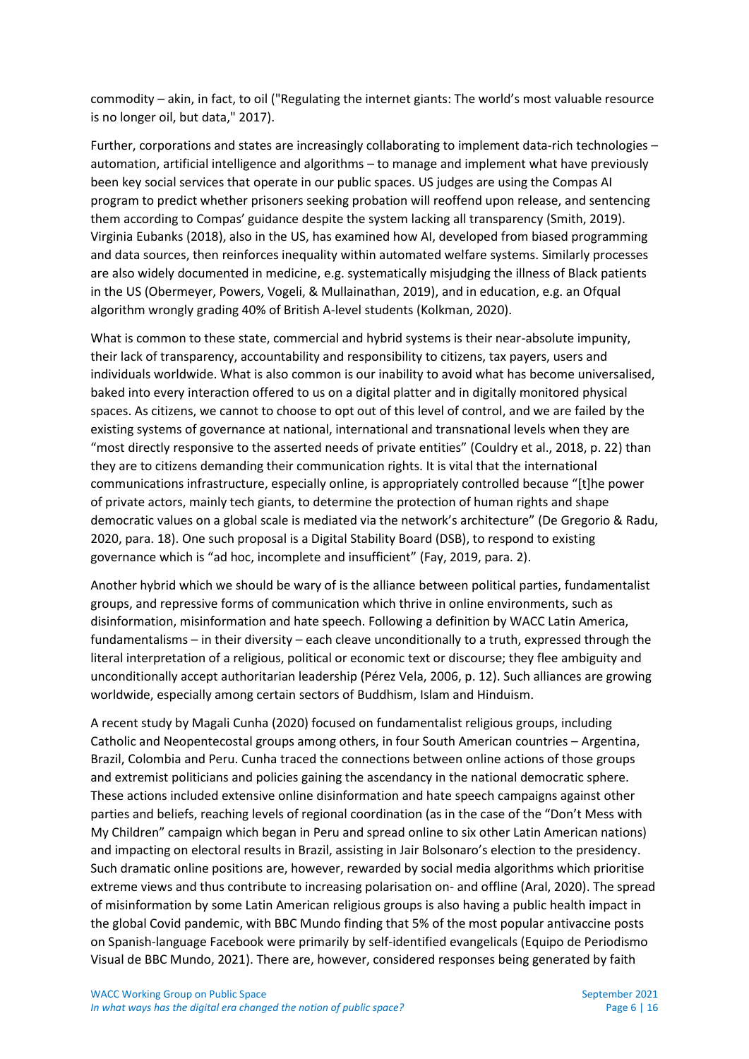commodity – akin, in fact, to oil ("Regulating the internet giants: The world's most valuable resource is no longer oil, but data," 2017).

Further, corporations and states are increasingly collaborating to implement data-rich technologies – automation, artificial intelligence and algorithms – to manage and implement what have previously been key social services that operate in our public spaces. US judges are using the Compas AI program to predict whether prisoners seeking probation will reoffend upon release, and sentencing them according to Compas' guidance despite the system lacking all transparency (Smith, 2019). Virginia Eubanks (2018), also in the US, has examined how AI, developed from biased programming and data sources, then reinforces inequality within automated welfare systems. Similarly processes are also widely documented in medicine, e.g. systematically misjudging the illness of Black patients in the US (Obermeyer, Powers, Vogeli, & Mullainathan, 2019), and in education, e.g. an Ofqual algorithm wrongly grading 40% of British A-level students (Kolkman, 2020).

What is common to these state, commercial and hybrid systems is their near-absolute impunity, their lack of transparency, accountability and responsibility to citizens, tax payers, users and individuals worldwide. What is also common is our inability to avoid what has become universalised, baked into every interaction offered to us on a digital platter and in digitally monitored physical spaces. As citizens, we cannot to choose to opt out of this level of control, and we are failed by the existing systems of governance at national, international and transnational levels when they are "most directly responsive to the asserted needs of private entities" (Couldry et al., 2018, p. 22) than they are to citizens demanding their communication rights. It is vital that the international communications infrastructure, especially online, is appropriately controlled because "[t]he power of private actors, mainly tech giants, to determine the protection of human rights and shape democratic values on a global scale is mediated via the network's architecture" (De Gregorio & Radu, 2020, para. 18). One such proposal is a Digital Stability Board (DSB), to respond to existing governance which is "ad hoc, incomplete and insufficient" (Fay, 2019, para. 2).

Another hybrid which we should be wary of is the alliance between political parties, fundamentalist groups, and repressive forms of communication which thrive in online environments, such as disinformation, misinformation and hate speech. Following a definition by WACC Latin America, fundamentalisms – in their diversity – each cleave unconditionally to a truth, expressed through the literal interpretation of a religious, political or economic text or discourse; they flee ambiguity and unconditionally accept authoritarian leadership (Pérez Vela, 2006, p. 12). Such alliances are growing worldwide, especially among certain sectors of Buddhism, Islam and Hinduism.

A recent study by Magali Cunha (2020) focused on fundamentalist religious groups, including Catholic and Neopentecostal groups among others, in four South American countries – Argentina, Brazil, Colombia and Peru. Cunha traced the connections between online actions of those groups and extremist politicians and policies gaining the ascendancy in the national democratic sphere. These actions included extensive online disinformation and hate speech campaigns against other parties and beliefs, reaching levels of regional coordination (as in the case of the "Don't Mess with My Children" campaign which began in Peru and spread online to six other Latin American nations) and impacting on electoral results in Brazil, assisting in Jair Bolsonaro's election to the presidency. Such dramatic online positions are, however, rewarded by social media algorithms which prioritise extreme views and thus contribute to increasing polarisation on- and offline (Aral, 2020). The spread of misinformation by some Latin American religious groups is also having a public health impact in the global Covid pandemic, with BBC Mundo finding that 5% of the most popular antivaccine posts on Spanish-language Facebook were primarily by self-identified evangelicals (Equipo de Periodismo Visual de BBC Mundo, 2021). There are, however, considered responses being generated by faith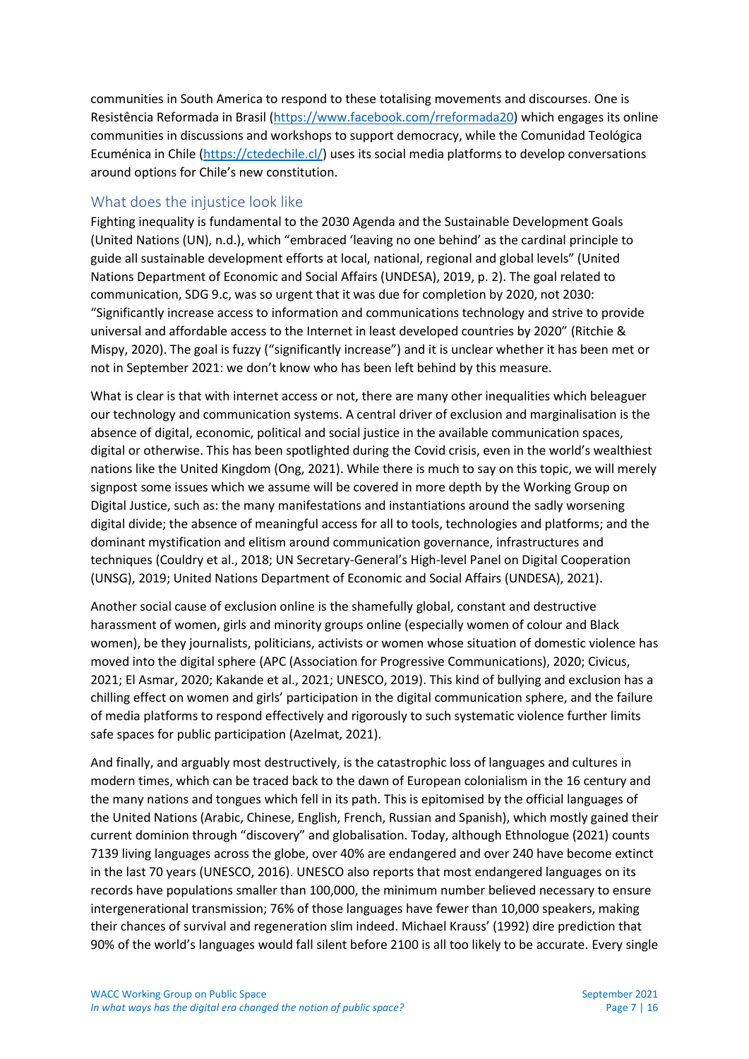communities in South America to respond to these totalising movements and discourses. One is Resistência Reformada in Brasil [\(https://www.facebook.com/rreformada20\)](https://www.facebook.com/rreformada20) which engages its online communities in discussions and workshops to support democracy, while the Comunidad Teológica Ecuménica in Chile [\(https://ctedechile.cl/\)](https://ctedechile.cl/) uses its social media platforms to develop conversations around options for Chile's new constitution.

## <span id="page-6-0"></span>What does the injustice look like

Fighting inequality is fundamental to the 2030 Agenda and the Sustainable Development Goals (United Nations (UN), n.d.), which "embraced 'leaving no one behind' as the cardinal principle to guide all sustainable development efforts at local, national, regional and global levels" (United Nations Department of Economic and Social Affairs (UNDESA), 2019, p. 2). The goal related to communication, SDG 9.c, was so urgent that it was due for completion by 2020, not 2030: "Significantly increase access to information and communications technology and strive to provide universal and affordable access to the Internet in least developed countries by 2020" (Ritchie & Mispy, 2020). The goal is fuzzy ("significantly increase") and it is unclear whether it has been met or not in September 2021: we don't know who has been left behind by this measure.

What is clear is that with internet access or not, there are many other inequalities which beleaguer our technology and communication systems. A central driver of exclusion and marginalisation is the absence of digital, economic, political and social justice in the available communication spaces, digital or otherwise. This has been spotlighted during the Covid crisis, even in the world's wealthiest nations like the United Kingdom (Ong, 2021). While there is much to say on this topic, we will merely signpost some issues which we assume will be covered in more depth by the Working Group on Digital Justice, such as: the many manifestations and instantiations around the sadly worsening digital divide; the absence of meaningful access for all to tools, technologies and platforms; and the dominant mystification and elitism around communication governance, infrastructures and techniques (Couldry et al., 2018; UN Secretary-General's High-level Panel on Digital Cooperation (UNSG), 2019; United Nations Department of Economic and Social Affairs (UNDESA), 2021).

Another social cause of exclusion online is the shamefully global, constant and destructive harassment of women, girls and minority groups online (especially women of colour and Black women), be they journalists, politicians, activists or women whose situation of domestic violence has moved into the digital sphere (APC (Association for Progressive Communications), 2020; Civicus, 2021; El Asmar, 2020; Kakande et al., 2021; UNESCO, 2019). This kind of bullying and exclusion has a chilling effect on women and girls' participation in the digital communication sphere, and the failure of media platforms to respond effectively and rigorously to such systematic violence further limits safe spaces for public participation (Azelmat, 2021).

And finally, and arguably most destructively, is the catastrophic loss of languages and cultures in modern times, which can be traced back to the dawn of European colonialism in the 16 century and the many nations and tongues which fell in its path. This is epitomised by the official languages of the United Nations (Arabic, Chinese, English, French, Russian and Spanish), which mostly gained their current dominion through "discovery" and globalisation. Today, although Ethnologue (2021) counts 7139 living languages across the globe, over 40% are endangered and over 240 have become extinct in the last 70 years (UNESCO, 2016). UNESCO also reports that most endangered languages on its records have populations smaller than 100,000, the minimum number believed necessary to ensure intergenerational transmission; 76% of those languages have fewer than 10,000 speakers, making their chances of survival and regeneration slim indeed. Michael Krauss' (1992) dire prediction that 90% of the world's languages would fall silent before 2100 is all too likely to be accurate. Every single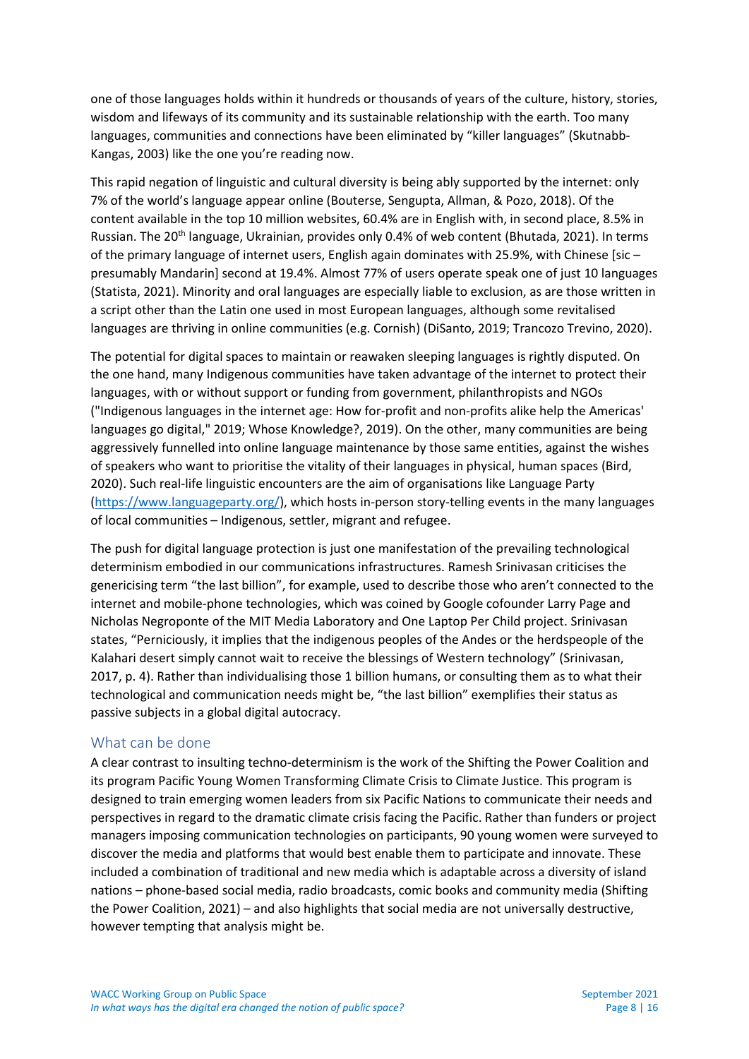one of those languages holds within it hundreds or thousands of years of the culture, history, stories, wisdom and lifeways of its community and its sustainable relationship with the earth. Too many languages, communities and connections have been eliminated by "killer languages" (Skutnabb-Kangas, 2003) like the one you're reading now.

This rapid negation of linguistic and cultural diversity is being ably supported by the internet: only 7% of the world's language appear online (Bouterse, Sengupta, Allman, & Pozo, 2018). Of the content available in the top 10 million websites, 60.4% are in English with, in second place, 8.5% in Russian. The 20<sup>th</sup> language, Ukrainian, provides only 0.4% of web content (Bhutada, 2021). In terms of the primary language of internet users, English again dominates with 25.9%, with Chinese [sic – presumably Mandarin] second at 19.4%. Almost 77% of users operate speak one of just 10 languages (Statista, 2021). Minority and oral languages are especially liable to exclusion, as are those written in a script other than the Latin one used in most European languages, although some revitalised languages are thriving in online communities (e.g. Cornish) (DiSanto, 2019; Trancozo Trevino, 2020).

The potential for digital spaces to maintain or reawaken sleeping languages is rightly disputed. On the one hand, many Indigenous communities have taken advantage of the internet to protect their languages, with or without support or funding from government, philanthropists and NGOs ("Indigenous languages in the internet age: How for-profit and non-profits alike help the Americas' languages go digital," 2019; Whose Knowledge?, 2019). On the other, many communities are being aggressively funnelled into online language maintenance by those same entities, against the wishes of speakers who want to prioritise the vitality of their languages in physical, human spaces (Bird, 2020). Such real-life linguistic encounters are the aim of organisations like Language Party [\(https://www.languageparty.org/\)](https://www.languageparty.org/), which hosts in-person story-telling events in the many languages of local communities – Indigenous, settler, migrant and refugee.

The push for digital language protection is just one manifestation of the prevailing technological determinism embodied in our communications infrastructures. Ramesh Srinivasan criticises the genericising term "the last billion", for example, used to describe those who aren't connected to the internet and mobile-phone technologies, which was coined by Google cofounder Larry Page and Nicholas Negroponte of the MIT Media Laboratory and One Laptop Per Child project. Srinivasan states, "Perniciously, it implies that the indigenous peoples of the Andes or the herdspeople of the Kalahari desert simply cannot wait to receive the blessings of Western technology" (Srinivasan, 2017, p. 4). Rather than individualising those 1 billion humans, or consulting them as to what their technological and communication needs might be, "the last billion" exemplifies their status as passive subjects in a global digital autocracy.

#### <span id="page-7-0"></span>What can be done

A clear contrast to insulting techno-determinism is the work of the Shifting the Power Coalition and its program Pacific Young Women Transforming Climate Crisis to Climate Justice. This program is designed to train emerging women leaders from six Pacific Nations to communicate their needs and perspectives in regard to the dramatic climate crisis facing the Pacific. Rather than funders or project managers imposing communication technologies on participants, 90 young women were surveyed to discover the media and platforms that would best enable them to participate and innovate. These included a combination of traditional and new media which is adaptable across a diversity of island nations – phone-based social media, radio broadcasts, comic books and community media (Shifting the Power Coalition, 2021) – and also highlights that social media are not universally destructive, however tempting that analysis might be.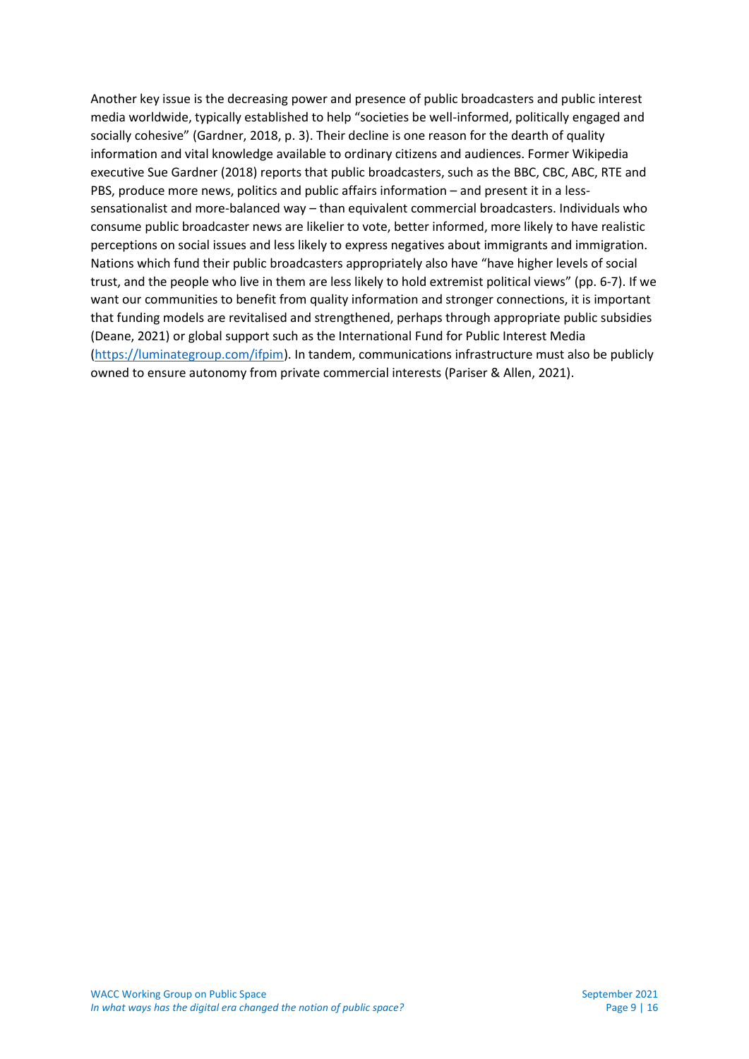Another key issue is the decreasing power and presence of public broadcasters and public interest media worldwide, typically established to help "societies be well-informed, politically engaged and socially cohesive" (Gardner, 2018, p. 3). Their decline is one reason for the dearth of quality information and vital knowledge available to ordinary citizens and audiences. Former Wikipedia executive Sue Gardner (2018) reports that public broadcasters, such as the BBC, CBC, ABC, RTE and PBS, produce more news, politics and public affairs information – and present it in a lesssensationalist and more-balanced way – than equivalent commercial broadcasters. Individuals who consume public broadcaster news are likelier to vote, better informed, more likely to have realistic perceptions on social issues and less likely to express negatives about immigrants and immigration. Nations which fund their public broadcasters appropriately also have "[have higher levels of social](http://reutersinstitute.politics.ox.ac.uk/sites/default/files/research/files/Analysis%2520of%2520the%2520Relation%2520Between%2520and%2520Impact%2520of%2520Public%2520Service%2520Media%2520and%2520Private%2520Media.pdf)  [trust,](http://reutersinstitute.politics.ox.ac.uk/sites/default/files/research/files/Analysis%2520of%2520the%2520Relation%2520Between%2520and%2520Impact%2520of%2520Public%2520Service%2520Media%2520and%2520Private%2520Media.pdf) and the people who live in the[m are less likely to hold extremist political views](https://www.ebu.ch/files/live/sites/ebu/files/Publications/MIS/login_only/psm/EBU-MIS%20-%20PSM%20Correlations%20-%20Public.pdf)" (pp. 6-7). If we want our communities to benefit from quality information and stronger connections, it is important that funding models are revitalised and strengthened, perhaps through appropriate public subsidies (Deane, 2021) or global support such as the International Fund for Public Interest Media [\(https://luminategroup.com/ifpim\)](https://luminategroup.com/ifpim). In tandem, communications infrastructure must also be publicly owned to ensure autonomy from private commercial interests (Pariser & Allen, 2021).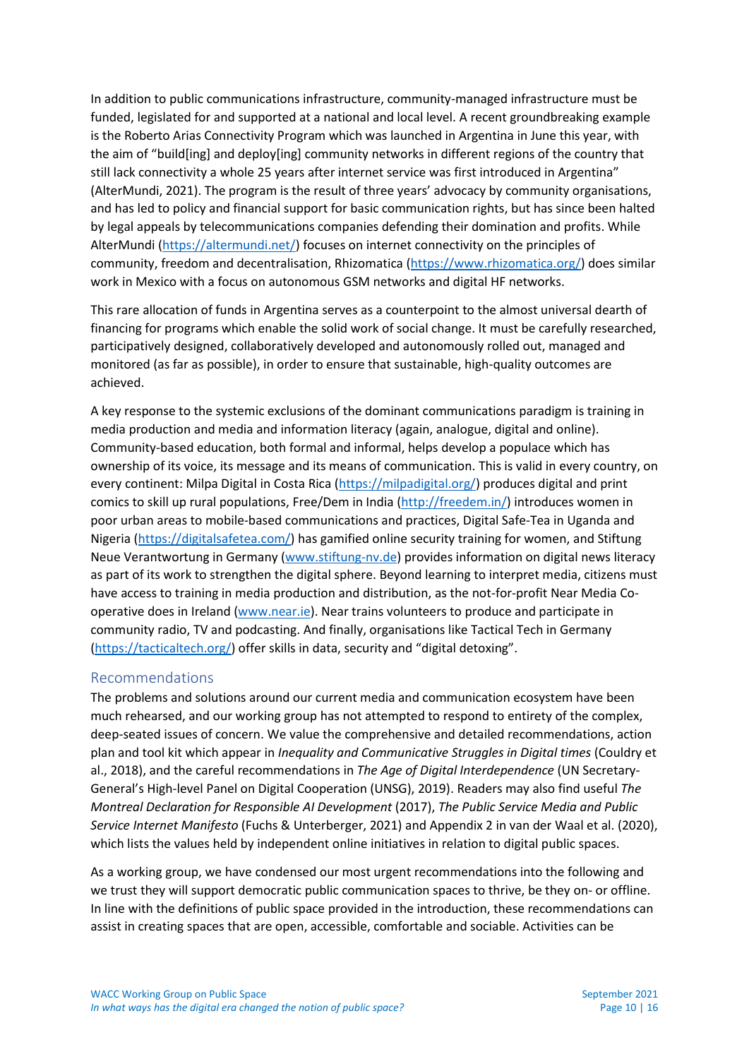In addition to public communications infrastructure, community-managed infrastructure must be funded, legislated for and supported at a national and local level. A recent groundbreaking example is the Roberto Arias Connectivity Program which was launched in Argentina in June this year, with the aim of "build[ing] and deploy[ing] community networks in different regions of the country that still lack connectivity a whole 25 years after internet service was first introduced in Argentina" (AlterMundi, 2021). The program is the result of three years' advocacy by community organisations, and has led to policy and financial support for basic communication rights, but has since been halted by legal appeals by telecommunications companies defending their domination and profits. While AlterMundi [\(https://altermundi.net/\)](https://altermundi.net/) focuses on internet connectivity on the principles of community, freedom and decentralisation, Rhizomatica [\(https://www.rhizomatica.org/\)](https://www.rhizomatica.org/) does similar work in Mexico with a focus on autonomous GSM networks and digital HF networks.

This rare allocation of funds in Argentina serves as a counterpoint to the almost universal dearth of financing for programs which enable the solid work of social change. It must be carefully researched, participatively designed, collaboratively developed and autonomously rolled out, managed and monitored (as far as possible), in order to ensure that sustainable, high-quality outcomes are achieved.

A key response to the systemic exclusions of the dominant communications paradigm is training in media production and media and information literacy (again, analogue, digital and online). Community-based education, both formal and informal, helps develop a populace which has ownership of its voice, its message and its means of communication. This is valid in every country, on every continent: Milpa Digital in Costa Rica [\(https://milpadigital.org/\)](https://milpadigital.org/) produces digital and print comics to skill up rural populations, Free/Dem in India [\(http://freedem.in/\)](http://freedem.in/) introduces women in poor urban areas to mobile-based communications and practices, Digital Safe-Tea in Uganda and Nigeria [\(https://digitalsafetea.com/\)](https://digitalsafetea.com/) has gamified online security training for women, and Stiftung Neue Verantwortung in Germany [\(www.stiftung-nv.de\)](http://www.stiftung-nv.de/) provides information on digital news literacy as part of its work to strengthen the digital sphere. Beyond learning to interpret media, citizens must have access to training in media production and distribution, as the not-for-profit Near Media Cooperative does in Ireland [\(www.near.ie\)](http://www.near.ie/). Near trains volunteers to produce and participate in community radio, TV and podcasting. And finally, organisations like Tactical Tech in Germany [\(https://tacticaltech.org/\)](https://tacticaltech.org/) offer skills in data, security and "digital detoxing".

#### <span id="page-9-0"></span>Recommendations

The problems and solutions around our current media and communication ecosystem have been much rehearsed, and our working group has not attempted to respond to entirety of the complex, deep-seated issues of concern. We value the comprehensive and detailed recommendations, action plan and tool kit which appear in *Inequality and Communicative Struggles in Digital times* (Couldry et al., 2018), and the careful recommendations in *The Age of Digital Interdependence* (UN Secretary-General's High-level Panel on Digital Cooperation (UNSG), 2019). Readers may also find useful *The Montreal Declaration for Responsible AI Development* (2017), *The Public Service Media and Public Service Internet Manifesto* (Fuchs & Unterberger, 2021) and Appendix 2 in van der Waal et al. (2020), which lists the values held by independent online initiatives in relation to digital public spaces.

As a working group, we have condensed our most urgent recommendations into the following and we trust they will support democratic public communication spaces to thrive, be they on- or offline. In line with the definitions of public space provided in the introduction, these recommendations can assist in creating spaces that are open, accessible, comfortable and sociable. Activities can be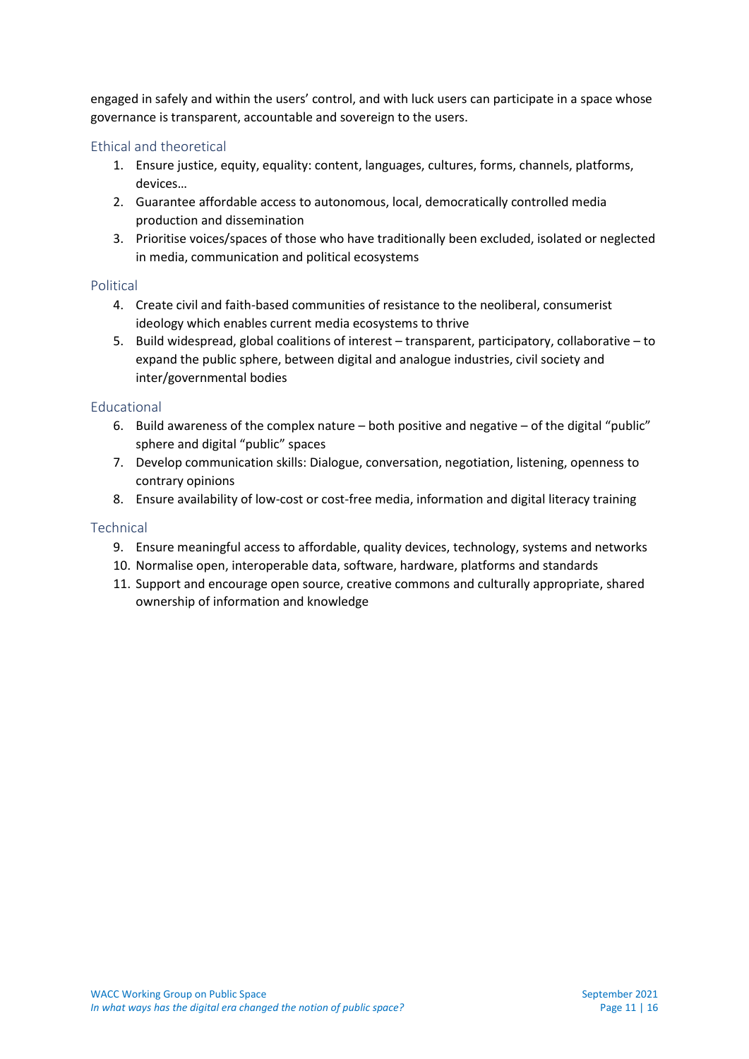engaged in safely and within the users' control, and with luck users can participate in a space whose governance is transparent, accountable and sovereign to the users.

## <span id="page-10-0"></span>Ethical and theoretical

- 1. Ensure justice, equity, equality: content, languages, cultures, forms, channels, platforms, devices…
- 2. Guarantee affordable access to autonomous, local, democratically controlled media production and dissemination
- 3. Prioritise voices/spaces of those who have traditionally been excluded, isolated or neglected in media, communication and political ecosystems

#### <span id="page-10-1"></span>Political

- 4. Create civil and faith-based communities of resistance to the neoliberal, consumerist ideology which enables current media ecosystems to thrive
- 5. Build widespread, global coalitions of interest transparent, participatory, collaborative to expand the public sphere, between digital and analogue industries, civil society and inter/governmental bodies

#### <span id="page-10-2"></span>Educational

- 6. Build awareness of the complex nature both positive and negative of the digital "public" sphere and digital "public" spaces
- 7. Develop communication skills: Dialogue, conversation, negotiation, listening, openness to contrary opinions
- 8. Ensure availability of low-cost or cost-free media, information and digital literacy training

#### <span id="page-10-3"></span>**Technical**

- 9. Ensure meaningful access to affordable, quality devices, technology, systems and networks
- 10. Normalise open, interoperable data, software, hardware, platforms and standards
- 11. Support and encourage open source, creative commons and culturally appropriate, shared ownership of information and knowledge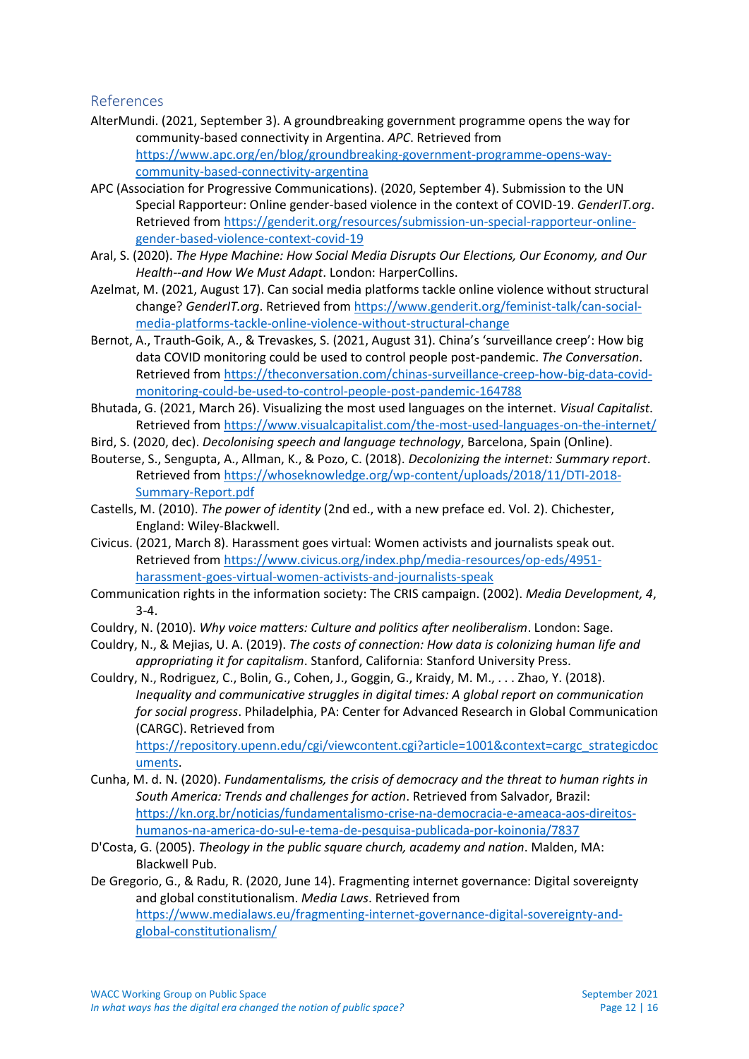#### <span id="page-11-0"></span>References

- AlterMundi. (2021, September 3). A groundbreaking government programme opens the way for community-based connectivity in Argentina. *APC*. Retrieved from [https://www.apc.org/en/blog/groundbreaking-government-programme-opens-way](https://www.apc.org/en/blog/groundbreaking-government-programme-opens-way-community-based-connectivity-argentina)[community-based-connectivity-argentina](https://www.apc.org/en/blog/groundbreaking-government-programme-opens-way-community-based-connectivity-argentina)
- APC (Association for Progressive Communications). (2020, September 4). Submission to the UN Special Rapporteur: Online gender-based violence in the context of COVID-19. *GenderIT.org*. Retrieved from [https://genderit.org/resources/submission-un-special-rapporteur-online](https://genderit.org/resources/submission-un-special-rapporteur-online-gender-based-violence-context-covid-19)[gender-based-violence-context-covid-19](https://genderit.org/resources/submission-un-special-rapporteur-online-gender-based-violence-context-covid-19)
- Aral, S. (2020). *The Hype Machine: How Social Media Disrupts Our Elections, Our Economy, and Our Health--and How We Must Adapt*. London: HarperCollins.
- Azelmat, M. (2021, August 17). Can social media platforms tackle online violence without structural change? *GenderIT.org*. Retrieved from [https://www.genderit.org/feminist-talk/can-social](https://www.genderit.org/feminist-talk/can-social-media-platforms-tackle-online-violence-without-structural-change)[media-platforms-tackle-online-violence-without-structural-change](https://www.genderit.org/feminist-talk/can-social-media-platforms-tackle-online-violence-without-structural-change)
- Bernot, A., Trauth-Goik, A., & Trevaskes, S. (2021, August 31). China's 'surveillance creep': How big data COVID monitoring could be used to control people post-pandemic. *The Conversation*. Retrieved from [https://theconversation.com/chinas-surveillance-creep-how-big-data-covid](https://theconversation.com/chinas-surveillance-creep-how-big-data-covid-monitoring-could-be-used-to-control-people-post-pandemic-164788)[monitoring-could-be-used-to-control-people-post-pandemic-164788](https://theconversation.com/chinas-surveillance-creep-how-big-data-covid-monitoring-could-be-used-to-control-people-post-pandemic-164788)
- Bhutada, G. (2021, March 26). Visualizing the most used languages on the internet. *Visual Capitalist*. Retrieved from<https://www.visualcapitalist.com/the-most-used-languages-on-the-internet/>
- Bird, S. (2020, dec). *Decolonising speech and language technology*, Barcelona, Spain (Online).
- Bouterse, S., Sengupta, A., Allman, K., & Pozo, C. (2018). *Decolonizing the internet: Summary report*. Retrieved from [https://whoseknowledge.org/wp-content/uploads/2018/11/DTI-2018-](https://whoseknowledge.org/wp-content/uploads/2018/11/DTI-2018-Summary-Report.pdf) [Summary-Report.pdf](https://whoseknowledge.org/wp-content/uploads/2018/11/DTI-2018-Summary-Report.pdf)
- Castells, M. (2010). *The power of identity* (2nd ed., with a new preface ed. Vol. 2). Chichester, England: Wiley-Blackwell.
- Civicus. (2021, March 8). Harassment goes virtual: Women activists and journalists speak out. Retrieved from [https://www.civicus.org/index.php/media-resources/op-eds/4951](https://www.civicus.org/index.php/media-resources/op-eds/4951-harassment-goes-virtual-women-activists-and-journalists-speak) [harassment-goes-virtual-women-activists-and-journalists-speak](https://www.civicus.org/index.php/media-resources/op-eds/4951-harassment-goes-virtual-women-activists-and-journalists-speak)
- Communication rights in the information society: The CRIS campaign. (2002). *Media Development, 4*, 3-4.
- Couldry, N. (2010). *Why voice matters: Culture and politics after neoliberalism*. London: Sage.
- Couldry, N., & Mejias, U. A. (2019). *The costs of connection: How data is colonizing human life and appropriating it for capitalism*. Stanford, California: Stanford University Press.

Couldry, N., Rodriguez, C., Bolin, G., Cohen, J., Goggin, G., Kraidy, M. M., . . . Zhao, Y. (2018). *Inequality and communicative struggles in digital times: A global report on communication for social progress*. Philadelphia, PA: Center for Advanced Research in Global Communication (CARGC). Retrieved from

[https://repository.upenn.edu/cgi/viewcontent.cgi?article=1001&context=cargc\\_strategicdoc](https://repository.upenn.edu/cgi/viewcontent.cgi?article=1001&context=cargc_strategicdocuments) [uments.](https://repository.upenn.edu/cgi/viewcontent.cgi?article=1001&context=cargc_strategicdocuments)

- Cunha, M. d. N. (2020). *Fundamentalisms, the crisis of democracy and the threat to human rights in South America: Trends and challenges for action*. Retrieved from Salvador, Brazil: [https://kn.org.br/noticias/fundamentalismo-crise-na-democracia-e-ameaca-aos-direitos](https://kn.org.br/noticias/fundamentalismo-crise-na-democracia-e-ameaca-aos-direitos-humanos-na-america-do-sul-e-tema-de-pesquisa-publicada-por-koinonia/7837)[humanos-na-america-do-sul-e-tema-de-pesquisa-publicada-por-koinonia/7837](https://kn.org.br/noticias/fundamentalismo-crise-na-democracia-e-ameaca-aos-direitos-humanos-na-america-do-sul-e-tema-de-pesquisa-publicada-por-koinonia/7837)
- D'Costa, G. (2005). *Theology in the public square church, academy and nation*. Malden, MA: Blackwell Pub.
- De Gregorio, G., & Radu, R. (2020, June 14). Fragmenting internet governance: Digital sovereignty and global constitutionalism. *Media Laws*. Retrieved from [https://www.medialaws.eu/fragmenting-internet-governance-digital-sovereignty-and](https://www.medialaws.eu/fragmenting-internet-governance-digital-sovereignty-and-global-constitutionalism/)[global-constitutionalism/](https://www.medialaws.eu/fragmenting-internet-governance-digital-sovereignty-and-global-constitutionalism/)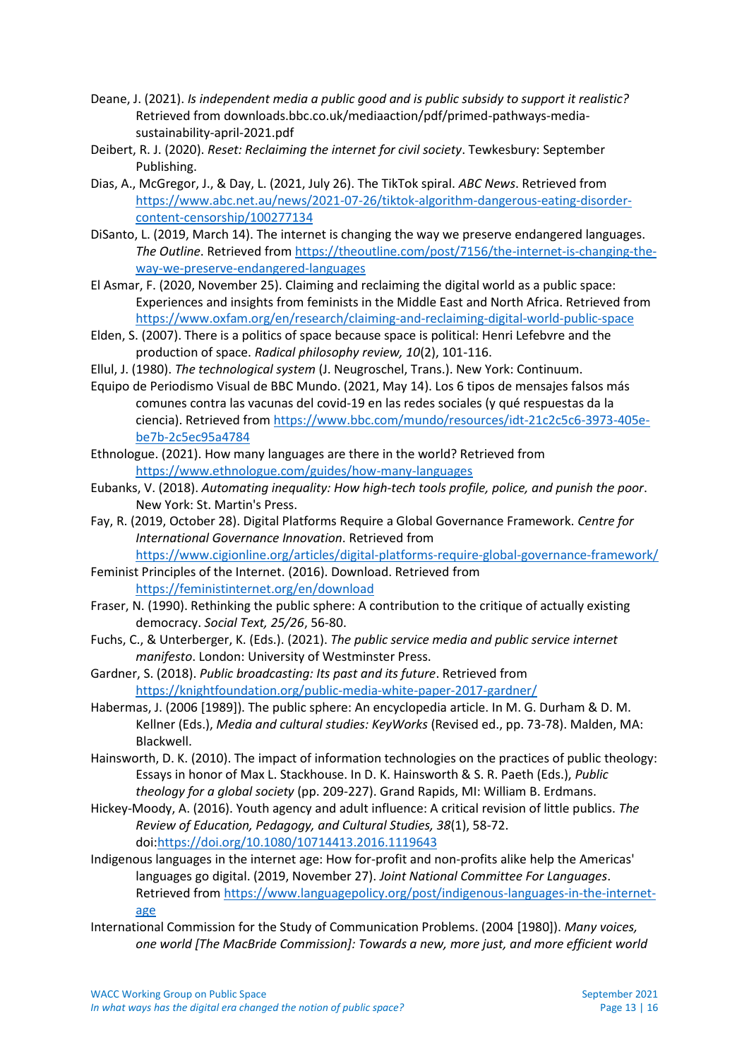- Deane, J. (2021). *Is independent media a public good and is public subsidy to support it realistic?* Retrieved from downloads.bbc.co.uk/mediaaction/pdf/primed-pathways-mediasustainability-april-2021.pdf
- Deibert, R. J. (2020). *Reset: Reclaiming the internet for civil society*. Tewkesbury: September Publishing.
- Dias, A., McGregor, J., & Day, L. (2021, July 26). The TikTok spiral. *ABC News*. Retrieved from [https://www.abc.net.au/news/2021-07-26/tiktok-algorithm-dangerous-eating-disorder](https://www.abc.net.au/news/2021-07-26/tiktok-algorithm-dangerous-eating-disorder-content-censorship/100277134)[content-censorship/100277134](https://www.abc.net.au/news/2021-07-26/tiktok-algorithm-dangerous-eating-disorder-content-censorship/100277134)
- DiSanto, L. (2019, March 14). The internet is changing the way we preserve endangered languages. *The Outline*. Retrieved fro[m https://theoutline.com/post/7156/the-internet-is-changing-the](https://theoutline.com/post/7156/the-internet-is-changing-the-way-we-preserve-endangered-languages)[way-we-preserve-endangered-languages](https://theoutline.com/post/7156/the-internet-is-changing-the-way-we-preserve-endangered-languages)
- El Asmar, F. (2020, November 25). Claiming and reclaiming the digital world as a public space: Experiences and insights from feminists in the Middle East and North Africa. Retrieved from <https://www.oxfam.org/en/research/claiming-and-reclaiming-digital-world-public-space>
- Elden, S. (2007). There is a politics of space because space is political: Henri Lefebvre and the production of space. *Radical philosophy review, 10*(2), 101-116.
- Ellul, J. (1980). *The technological system* (J. Neugroschel, Trans.). New York: Continuum.
- Equipo de Periodismo Visual de BBC Mundo. (2021, May 14). Los 6 tipos de mensajes falsos más comunes contra las vacunas del covid-19 en las redes sociales (y qué respuestas da la ciencia). Retrieved from [https://www.bbc.com/mundo/resources/idt-21c2c5c6-3973-405e](https://www.bbc.com/mundo/resources/idt-21c2c5c6-3973-405e-be7b-2c5ec95a4784)[be7b-2c5ec95a4784](https://www.bbc.com/mundo/resources/idt-21c2c5c6-3973-405e-be7b-2c5ec95a4784)
- Ethnologue. (2021). How many languages are there in the world? Retrieved from <https://www.ethnologue.com/guides/how-many-languages>
- Eubanks, V. (2018). *Automating inequality: How high-tech tools profile, police, and punish the poor*. New York: St. Martin's Press.
- Fay, R. (2019, October 28). Digital Platforms Require a Global Governance Framework. *Centre for International Governance Innovation*. Retrieved from <https://www.cigionline.org/articles/digital-platforms-require-global-governance-framework/>
- Feminist Principles of the Internet. (2016). Download. Retrieved from <https://feministinternet.org/en/download>
- Fraser, N. (1990). Rethinking the public sphere: A contribution to the critique of actually existing democracy. *Social Text, 25/26*, 56-80.
- Fuchs, C., & Unterberger, K. (Eds.). (2021). *The public service media and public service internet manifesto*. London: University of Westminster Press.
- Gardner, S. (2018). *Public broadcasting: Its past and its future*. Retrieved from <https://knightfoundation.org/public-media-white-paper-2017-gardner/>
- Habermas, J. (2006 [1989]). The public sphere: An encyclopedia article. In M. G. Durham & D. M. Kellner (Eds.), *Media and cultural studies: KeyWorks* (Revised ed., pp. 73-78). Malden, MA: Blackwell.
- Hainsworth, D. K. (2010). The impact of information technologies on the practices of public theology: Essays in honor of Max L. Stackhouse. In D. K. Hainsworth & S. R. Paeth (Eds.), *Public theology for a global society* (pp. 209-227). Grand Rapids, MI: William B. Erdmans.
- Hickey-Moody, A. (2016). Youth agency and adult influence: A critical revision of little publics. *The Review of Education, Pedagogy, and Cultural Studies, 38*(1), 58-72. doi[:https://doi.org/10.1080/10714413.2016.1119643](https://doi.org/10.1080/10714413.2016.1119643)
- Indigenous languages in the internet age: How for-profit and non-profits alike help the Americas' languages go digital. (2019, November 27). *Joint National Committee For Languages*. Retrieved from [https://www.languagepolicy.org/post/indigenous-languages-in-the-internet](https://www.languagepolicy.org/post/indigenous-languages-in-the-internet-age)[age](https://www.languagepolicy.org/post/indigenous-languages-in-the-internet-age)
- International Commission for the Study of Communication Problems. (2004 [1980]). *Many voices, one world [The MacBride Commission]: Towards a new, more just, and more efficient world*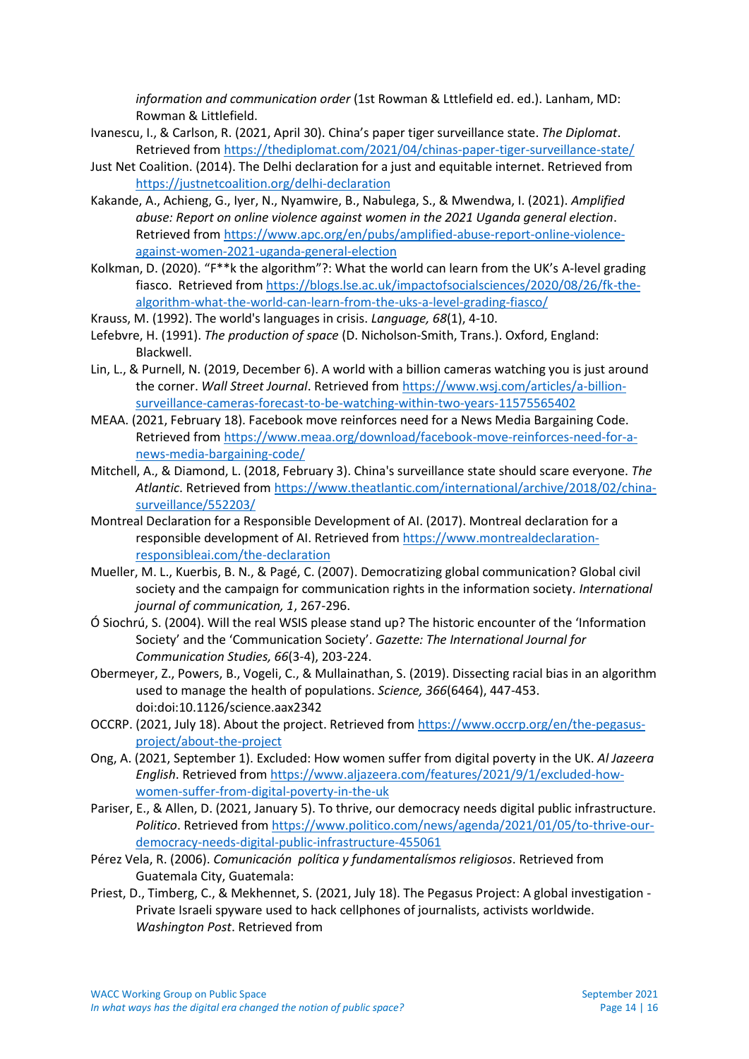*information and communication order* (1st Rowman & Lttlefield ed. ed.). Lanham, MD: Rowman & Littlefield.

- Ivanescu, I., & Carlson, R. (2021, April 30). China's paper tiger surveillance state. *The Diplomat*. Retrieved from<https://thediplomat.com/2021/04/chinas-paper-tiger-surveillance-state/>
- Just Net Coalition. (2014). The Delhi declaration for a just and equitable internet. Retrieved from <https://justnetcoalition.org/delhi-declaration>
- Kakande, A., Achieng, G., Iyer, N., Nyamwire, B., Nabulega, S., & Mwendwa, I. (2021). *Amplified abuse: Report on online violence against women in the 2021 Uganda general election*. Retrieved from [https://www.apc.org/en/pubs/amplified-abuse-report-online-violence](https://www.apc.org/en/pubs/amplified-abuse-report-online-violence-against-women-2021-uganda-general-election)[against-women-2021-uganda-general-election](https://www.apc.org/en/pubs/amplified-abuse-report-online-violence-against-women-2021-uganda-general-election)
- Kolkman, D. (2020). "F\*\*k the algorithm"?: What the world can learn from the UK's A-level grading fiasco. Retrieved fro[m https://blogs.lse.ac.uk/impactofsocialsciences/2020/08/26/fk-the](https://blogs.lse.ac.uk/impactofsocialsciences/2020/08/26/fk-the-algorithm-what-the-world-can-learn-from-the-uks-a-level-grading-fiasco/)[algorithm-what-the-world-can-learn-from-the-uks-a-level-grading-fiasco/](https://blogs.lse.ac.uk/impactofsocialsciences/2020/08/26/fk-the-algorithm-what-the-world-can-learn-from-the-uks-a-level-grading-fiasco/)
- Krauss, M. (1992). The world's languages in crisis. *Language, 68*(1), 4-10.
- Lefebvre, H. (1991). *The production of space* (D. Nicholson-Smith, Trans.). Oxford, England: Blackwell.
- Lin, L., & Purnell, N. (2019, December 6). A world with a billion cameras watching you is just around the corner. *Wall Street Journal*. Retrieved from [https://www.wsj.com/articles/a-billion](https://www.wsj.com/articles/a-billion-surveillance-cameras-forecast-to-be-watching-within-two-years-11575565402)[surveillance-cameras-forecast-to-be-watching-within-two-years-11575565402](https://www.wsj.com/articles/a-billion-surveillance-cameras-forecast-to-be-watching-within-two-years-11575565402)
- MEAA. (2021, February 18). Facebook move reinforces need for a News Media Bargaining Code. Retrieved from [https://www.meaa.org/download/facebook-move-reinforces-need-for-a](https://www.meaa.org/download/facebook-move-reinforces-need-for-a-news-media-bargaining-code/)[news-media-bargaining-code/](https://www.meaa.org/download/facebook-move-reinforces-need-for-a-news-media-bargaining-code/)
- Mitchell, A., & Diamond, L. (2018, February 3). China's surveillance state should scare everyone. *The Atlantic*. Retrieved from [https://www.theatlantic.com/international/archive/2018/02/china](https://www.theatlantic.com/international/archive/2018/02/china-surveillance/552203/)[surveillance/552203/](https://www.theatlantic.com/international/archive/2018/02/china-surveillance/552203/)
- Montreal Declaration for a Responsible Development of AI. (2017). Montreal declaration for a responsible development of AI. Retrieved from [https://www.montrealdeclaration](https://www.montrealdeclaration-responsibleai.com/the-declaration)[responsibleai.com/the-declaration](https://www.montrealdeclaration-responsibleai.com/the-declaration)
- Mueller, M. L., Kuerbis, B. N., & Pagé, C. (2007). Democratizing global communication? Global civil society and the campaign for communication rights in the information society. *International journal of communication, 1*, 267-296.
- Ó Siochrú, S. (2004). Will the real WSIS please stand up? The historic encounter of the 'Information Society' and the 'Communication Society'. *Gazette: The International Journal for Communication Studies, 66*(3-4), 203-224.
- Obermeyer, Z., Powers, B., Vogeli, C., & Mullainathan, S. (2019). Dissecting racial bias in an algorithm used to manage the health of populations. *Science, 366*(6464), 447-453. doi:doi:10.1126/science.aax2342
- OCCRP. (2021, July 18). About the project. Retrieved from [https://www.occrp.org/en/the-pegasus](https://www.occrp.org/en/the-pegasus-project/about-the-project)[project/about-the-project](https://www.occrp.org/en/the-pegasus-project/about-the-project)
- Ong, A. (2021, September 1). Excluded: How women suffer from digital poverty in the UK. *Al Jazeera English*. Retrieved from [https://www.aljazeera.com/features/2021/9/1/excluded-how](https://www.aljazeera.com/features/2021/9/1/excluded-how-women-suffer-from-digital-poverty-in-the-uk)[women-suffer-from-digital-poverty-in-the-uk](https://www.aljazeera.com/features/2021/9/1/excluded-how-women-suffer-from-digital-poverty-in-the-uk)
- Pariser, E., & Allen, D. (2021, January 5). To thrive, our democracy needs digital public infrastructure. *Politico*. Retrieved from [https://www.politico.com/news/agenda/2021/01/05/to-thrive-our](https://www.politico.com/news/agenda/2021/01/05/to-thrive-our-democracy-needs-digital-public-infrastructure-455061)[democracy-needs-digital-public-infrastructure-455061](https://www.politico.com/news/agenda/2021/01/05/to-thrive-our-democracy-needs-digital-public-infrastructure-455061)
- Pérez Vela, R. (2006). *Comunicación política y fundamentalísmos religiosos*. Retrieved from Guatemala City, Guatemala:
- Priest, D., Timberg, C., & Mekhennet, S. (2021, July 18). The Pegasus Project: A global investigation Private Israeli spyware used to hack cellphones of journalists, activists worldwide. *Washington Post*. Retrieved from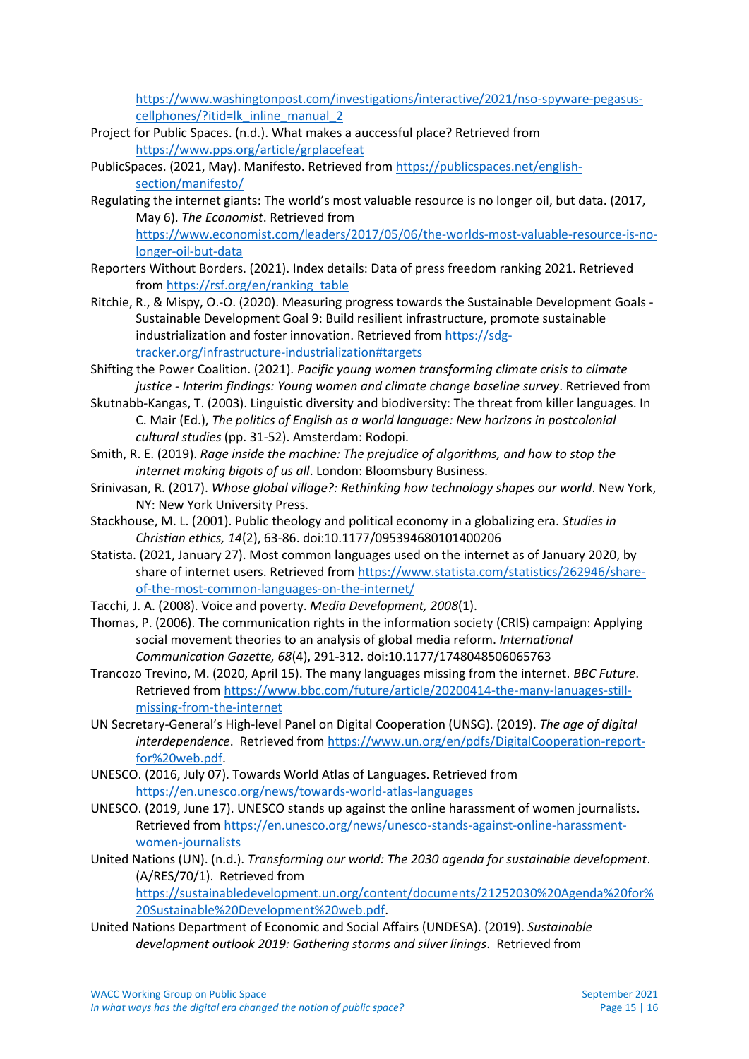[https://www.washingtonpost.com/investigations/interactive/2021/nso-spyware-pegasus](https://www.washingtonpost.com/investigations/interactive/2021/nso-spyware-pegasus-cellphones/?itid=lk_inline_manual_2)[cellphones/?itid=lk\\_inline\\_manual\\_2](https://www.washingtonpost.com/investigations/interactive/2021/nso-spyware-pegasus-cellphones/?itid=lk_inline_manual_2)

- Project for Public Spaces. (n.d.). What makes a auccessful place? Retrieved from <https://www.pps.org/article/grplacefeat>
- PublicSpaces. (2021, May). Manifesto. Retrieved fro[m https://publicspaces.net/english](https://publicspaces.net/english-section/manifesto/)[section/manifesto/](https://publicspaces.net/english-section/manifesto/)
- Regulating the internet giants: The world's most valuable resource is no longer oil, but data. (2017, May 6). *The Economist*. Retrieved from [https://www.economist.com/leaders/2017/05/06/the-worlds-most-valuable-resource-is-no](https://www.economist.com/leaders/2017/05/06/the-worlds-most-valuable-resource-is-no-longer-oil-but-data)[longer-oil-but-data](https://www.economist.com/leaders/2017/05/06/the-worlds-most-valuable-resource-is-no-longer-oil-but-data)
- Reporters Without Borders. (2021). Index details: Data of press freedom ranking 2021. Retrieved from [https://rsf.org/en/ranking\\_table](https://rsf.org/en/ranking_table)
- Ritchie, R., & Mispy, O.-O. (2020). Measuring progress towards the Sustainable Development Goals Sustainable Development Goal 9: Build resilient infrastructure, promote sustainable industrialization and foster innovation. Retrieved from [https://sdg](https://sdg-tracker.org/infrastructure-industrialization#targets)[tracker.org/infrastructure-industrialization#targets](https://sdg-tracker.org/infrastructure-industrialization#targets)
- Shifting the Power Coalition. (2021). *Pacific young women transforming climate crisis to climate justice - Interim findings: Young women and climate change baseline survey*. Retrieved from
- Skutnabb-Kangas, T. (2003). Linguistic diversity and biodiversity: The threat from killer languages. In C. Mair (Ed.), *The politics of English as a world language: New horizons in postcolonial cultural studies* (pp. 31-52). Amsterdam: Rodopi.
- Smith, R. E. (2019). *Rage inside the machine: The prejudice of algorithms, and how to stop the internet making bigots of us all*. London: Bloomsbury Business.
- Srinivasan, R. (2017). *Whose global village?: Rethinking how technology shapes our world*. New York, NY: New York University Press.
- Stackhouse, M. L. (2001). Public theology and political economy in a globalizing era. *Studies in Christian ethics, 14*(2), 63-86. doi:10.1177/095394680101400206
- Statista. (2021, January 27). Most common languages used on the internet as of January 2020, by share of internet users. Retrieved from [https://www.statista.com/statistics/262946/share](https://www.statista.com/statistics/262946/share-of-the-most-common-languages-on-the-internet/)[of-the-most-common-languages-on-the-internet/](https://www.statista.com/statistics/262946/share-of-the-most-common-languages-on-the-internet/)
- Tacchi, J. A. (2008). Voice and poverty. *Media Development, 2008*(1).
- Thomas, P. (2006). The communication rights in the information society (CRIS) campaign: Applying social movement theories to an analysis of global media reform. *International Communication Gazette, 68*(4), 291-312. doi:10.1177/1748048506065763
- Trancozo Trevino, M. (2020, April 15). The many languages missing from the internet. *BBC Future*. Retrieved from [https://www.bbc.com/future/article/20200414-the-many-lanuages-still](https://www.bbc.com/future/article/20200414-the-many-lanuages-still-missing-from-the-internet)[missing-from-the-internet](https://www.bbc.com/future/article/20200414-the-many-lanuages-still-missing-from-the-internet)
- UN Secretary-General's High-level Panel on Digital Cooperation (UNSG). (2019). *The age of digital interdependence*. Retrieved from [https://www.un.org/en/pdfs/DigitalCooperation-report](https://www.un.org/en/pdfs/DigitalCooperation-report-for%20web.pdf)[for%20web.pdf.](https://www.un.org/en/pdfs/DigitalCooperation-report-for%20web.pdf)
- UNESCO. (2016, July 07). Towards World Atlas of Languages. Retrieved from <https://en.unesco.org/news/towards-world-atlas-languages>
- UNESCO. (2019, June 17). UNESCO stands up against the online harassment of women journalists. Retrieved from [https://en.unesco.org/news/unesco-stands-against-online-harassment](https://en.unesco.org/news/unesco-stands-against-online-harassment-women-journalists)[women-journalists](https://en.unesco.org/news/unesco-stands-against-online-harassment-women-journalists)
- United Nations (UN). (n.d.). *Transforming our world: The 2030 agenda for sustainable development*. (A/RES/70/1). Retrieved from [https://sustainabledevelopment.un.org/content/documents/21252030%20Agenda%20for%](https://sustainabledevelopment.un.org/content/documents/21252030%20Agenda%20for%20Sustainable%20Development%20web.pdf) [20Sustainable%20Development%20web.pdf.](https://sustainabledevelopment.un.org/content/documents/21252030%20Agenda%20for%20Sustainable%20Development%20web.pdf)
- United Nations Department of Economic and Social Affairs (UNDESA). (2019). *Sustainable development outlook 2019: Gathering storms and silver linings*. Retrieved from